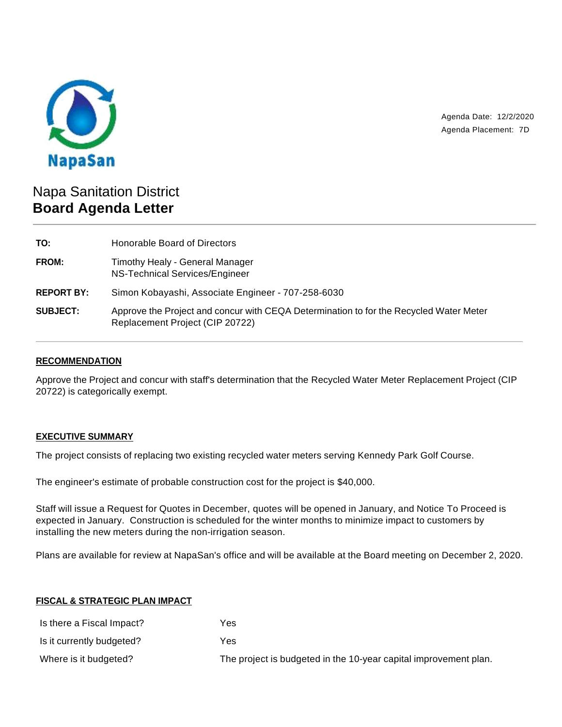

Agenda Date: 12/2/2020 Agenda Placement: 7D

# Napa Sanitation District **Board Agenda Letter**

| TO:               | Honorable Board of Directors                                                                                              |
|-------------------|---------------------------------------------------------------------------------------------------------------------------|
| FROM:             | Timothy Healy - General Manager<br>NS-Technical Services/Engineer                                                         |
| <b>REPORT BY:</b> | Simon Kobayashi, Associate Engineer - 707-258-6030                                                                        |
| <b>SUBJECT:</b>   | Approve the Project and concur with CEQA Determination to for the Recycled Water Meter<br>Replacement Project (CIP 20722) |

## **RECOMMENDATION**

Approve the Project and concur with staff's determination that the Recycled Water Meter Replacement Project (CIP 20722) is categorically exempt.

#### **EXECUTIVE SUMMARY**

The project consists of replacing two existing recycled water meters serving Kennedy Park Golf Course.

The engineer's estimate of probable construction cost for the project is \$40,000.

Staff will issue a Request for Quotes in December, quotes will be opened in January, and Notice To Proceed is expected in January. Construction is scheduled for the winter months to minimize impact to customers by installing the new meters during the non-irrigation season.

Plans are available for review at NapaSan's office and will be available at the Board meeting on December 2, 2020.

#### **FISCAL & STRATEGIC PLAN IMPACT**

| Is there a Fiscal Impact? | Yes                                                              |
|---------------------------|------------------------------------------------------------------|
| Is it currently budgeted? | Yes                                                              |
| Where is it budgeted?     | The project is budgeted in the 10-year capital improvement plan. |